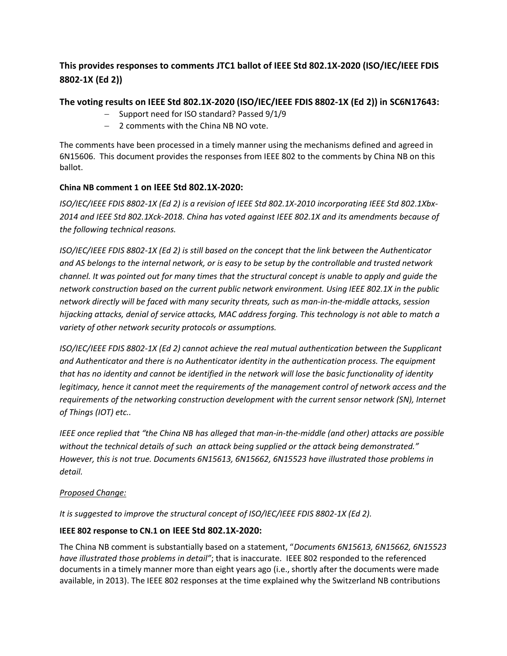# This provides responses to comments JTC1 ballot of IEEE Std 802.1X-2020 (ISO/IEC/IEEE FDIS 8802-1X (Ed 2))

## The voting results on IEEE Std 802.1X-2020 (ISO/IEC/IEEE FDIS 8802-1X (Ed 2)) in SC6N17643:

- Support need for ISO standard? Passed 9/1/9
- 2 comments with the China NB NO vote.

The comments have been processed in a timely manner using the mechanisms defined and agreed in 6N15606. This document provides the responses from IEEE 802 to the comments by China NB on this ballot.

## China NB comment 1 on IEEE Std 802.1X-2020:

ISO/IEC/IEEE FDIS 8802-1X (Ed 2) is a revision of IEEE Std 802.1X-2010 incorporating IEEE Std 802.1Xbx-2014 and IEEE Std 802.1Xck-2018. China has voted against IEEE 802.1X and its amendments because of the following technical reasons.

ISO/IEC/IEEE FDIS 8802-1X (Ed 2) is still based on the concept that the link between the Authenticator and AS belongs to the internal network, or is easy to be setup by the controllable and trusted network channel. It was pointed out for many times that the structural concept is unable to apply and guide the network construction based on the current public network environment. Using IEEE 802.1X in the public network directly will be faced with many security threats, such as man-in-the-middle attacks, session hijacking attacks, denial of service attacks, MAC address forging. This technology is not able to match a variety of other network security protocols or assumptions.

ISO/IEC/IEEE FDIS 8802-1X (Ed 2) cannot achieve the real mutual authentication between the Supplicant and Authenticator and there is no Authenticator identity in the authentication process. The equipment that has no identity and cannot be identified in the network will lose the basic functionality of identity legitimacy, hence it cannot meet the requirements of the management control of network access and the requirements of the networking construction development with the current sensor network (SN), Internet of Things (IOT) etc..

IEEE once replied that "the China NB has alleged that man-in-the-middle (and other) attacks are possible without the technical details of such an attack being supplied or the attack being demonstrated." However, this is not true. Documents 6N15613, 6N15662, 6N15523 have illustrated those problems in detail.

#### Proposed Change:

It is suggested to improve the structural concept of ISO/IEC/IEEE FDIS 8802-1X (Ed 2).

## IEEE 802 response to CN.1 on IEEE Std 802.1X-2020:

The China NB comment is substantially based on a statement, "Documents 6N15613, 6N15662, 6N15523 have illustrated those problems in detail"; that is inaccurate. IEEE 802 responded to the referenced documents in a timely manner more than eight years ago (i.e., shortly after the documents were made available, in 2013). The IEEE 802 responses at the time explained why the Switzerland NB contributions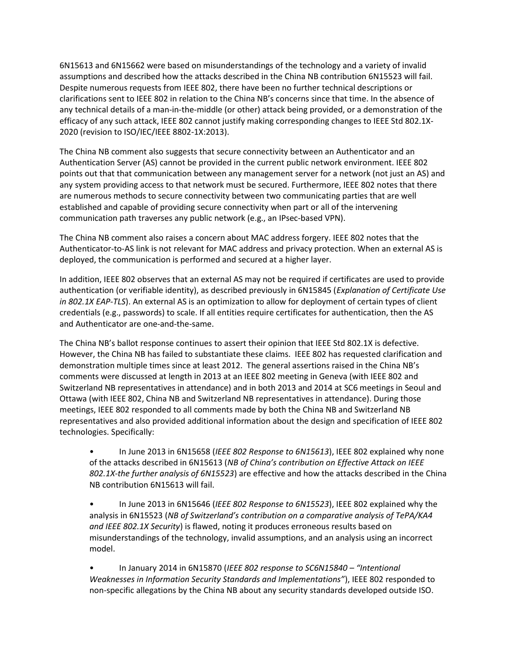6N15613 and 6N15662 were based on misunderstandings of the technology and a variety of invalid assumptions and described how the attacks described in the China NB contribution 6N15523 will fail. Despite numerous requests from IEEE 802, there have been no further technical descriptions or clarifications sent to IEEE 802 in relation to the China NB's concerns since that time. In the absence of any technical details of a man-in-the-middle (or other) attack being provided, or a demonstration of the efficacy of any such attack, IEEE 802 cannot justify making corresponding changes to IEEE Std 802.1X-2020 (revision to ISO/IEC/IEEE 8802-1X:2013).

The China NB comment also suggests that secure connectivity between an Authenticator and an Authentication Server (AS) cannot be provided in the current public network environment. IEEE 802 points out that that communication between any management server for a network (not just an AS) and any system providing access to that network must be secured. Furthermore, IEEE 802 notes that there are numerous methods to secure connectivity between two communicating parties that are well established and capable of providing secure connectivity when part or all of the intervening communication path traverses any public network (e.g., an IPsec-based VPN).

The China NB comment also raises a concern about MAC address forgery. IEEE 802 notes that the Authenticator-to-AS link is not relevant for MAC address and privacy protection. When an external AS is deployed, the communication is performed and secured at a higher layer.

In addition, IEEE 802 observes that an external AS may not be required if certificates are used to provide authentication (or verifiable identity), as described previously in 6N15845 (Explanation of Certificate Use in 802.1X EAP-TLS). An external AS is an optimization to allow for deployment of certain types of client credentials (e.g., passwords) to scale. If all entities require certificates for authentication, then the AS and Authenticator are one-and-the-same.

The China NB's ballot response continues to assert their opinion that IEEE Std 802.1X is defective. However, the China NB has failed to substantiate these claims. IEEE 802 has requested clarification and demonstration multiple times since at least 2012. The general assertions raised in the China NB's comments were discussed at length in 2013 at an IEEE 802 meeting in Geneva (with IEEE 802 and Switzerland NB representatives in attendance) and in both 2013 and 2014 at SC6 meetings in Seoul and Ottawa (with IEEE 802, China NB and Switzerland NB representatives in attendance). During those meetings, IEEE 802 responded to all comments made by both the China NB and Switzerland NB representatives and also provided additional information about the design and specification of IEEE 802 technologies. Specifically:

• In June 2013 in 6N15658 (IEEE 802 Response to 6N15613), IEEE 802 explained why none of the attacks described in 6N15613 (NB of China's contribution on Effective Attack on IEEE 802.1X-the further analysis of 6N15523) are effective and how the attacks described in the China NB contribution 6N15613 will fail.

In June 2013 in 6N15646 (IEEE 802 Response to 6N15523), IEEE 802 explained why the analysis in 6N15523 (NB of Switzerland's contribution on a comparative analysis of TePA/KA4 and IEEE 802.1X Security) is flawed, noting it produces erroneous results based on misunderstandings of the technology, invalid assumptions, and an analysis using an incorrect model.

• In January 2014 in 6N15870 (IEEE 802 response to SC6N15840 – "Intentional Weaknesses in Information Security Standards and Implementations"), IEEE 802 responded to non-specific allegations by the China NB about any security standards developed outside ISO.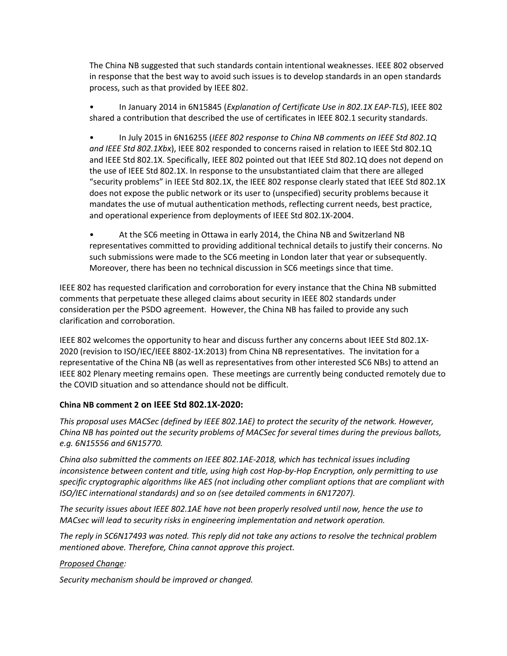The China NB suggested that such standards contain intentional weaknesses. IEEE 802 observed in response that the best way to avoid such issues is to develop standards in an open standards process, such as that provided by IEEE 802.

• In January 2014 in 6N15845 (Explanation of Certificate Use in 802.1X EAP-TLS), IEEE 802 shared a contribution that described the use of certificates in IEEE 802.1 security standards.

• In July 2015 in 6N16255 (IEEE 802 response to China NB comments on IEEE Std 802.1Q and IEEE Std 802.1Xbx), IEEE 802 responded to concerns raised in relation to IEEE Std 802.1Q and IEEE Std 802.1X. Specifically, IEEE 802 pointed out that IEEE Std 802.1Q does not depend on the use of IEEE Std 802.1X. In response to the unsubstantiated claim that there are alleged "security problems" in IEEE Std 802.1X, the IEEE 802 response clearly stated that IEEE Std 802.1X does not expose the public network or its user to (unspecified) security problems because it mandates the use of mutual authentication methods, reflecting current needs, best practice, and operational experience from deployments of IEEE Std 802.1X-2004.

• At the SC6 meeting in Ottawa in early 2014, the China NB and Switzerland NB representatives committed to providing additional technical details to justify their concerns. No such submissions were made to the SC6 meeting in London later that year or subsequently. Moreover, there has been no technical discussion in SC6 meetings since that time.

IEEE 802 has requested clarification and corroboration for every instance that the China NB submitted comments that perpetuate these alleged claims about security in IEEE 802 standards under consideration per the PSDO agreement. However, the China NB has failed to provide any such clarification and corroboration.

IEEE 802 welcomes the opportunity to hear and discuss further any concerns about IEEE Std 802.1X-2020 (revision to ISO/IEC/IEEE 8802-1X:2013) from China NB representatives. The invitation for a representative of the China NB (as well as representatives from other interested SC6 NBs) to attend an IEEE 802 Plenary meeting remains open. These meetings are currently being conducted remotely due to the COVID situation and so attendance should not be difficult.

## China NB comment 2 on IEEE Std 802.1X-2020:

This proposal uses MACSec (defined by IEEE 802.1AE) to protect the security of the network. However, China NB has pointed out the security problems of MACSec for several times during the previous ballots, e.g. 6N15556 and 6N15770.

China also submitted the comments on IEEE 802.1AE-2018, which has technical issues including inconsistence between content and title, using high cost Hop-by-Hop Encryption, only permitting to use specific cryptographic algorithms like AES (not including other compliant options that are compliant with ISO/IEC international standards) and so on (see detailed comments in 6N17207).

The security issues about IEEE 802.1AE have not been properly resolved until now, hence the use to MACsec will lead to security risks in engineering implementation and network operation.

The reply in SC6N17493 was noted. This reply did not take any actions to resolve the technical problem mentioned above. Therefore, China cannot approve this project.

#### Proposed Change:

Security mechanism should be improved or changed.